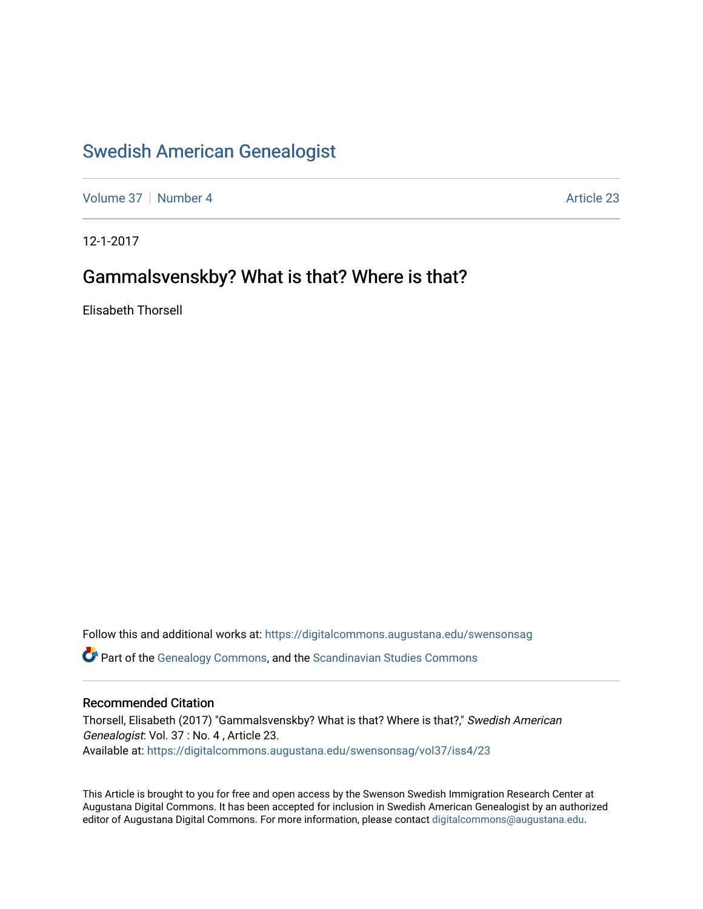# [Swedish American Genealogist](https://digitalcommons.augustana.edu/swensonsag)

[Volume 37](https://digitalcommons.augustana.edu/swensonsag/vol37) [Number 4](https://digitalcommons.augustana.edu/swensonsag/vol37/iss4) Article 23

12-1-2017

## Gammalsvenskby? What is that? Where is that?

Elisabeth Thorsell

Follow this and additional works at: [https://digitalcommons.augustana.edu/swensonsag](https://digitalcommons.augustana.edu/swensonsag?utm_source=digitalcommons.augustana.edu%2Fswensonsag%2Fvol37%2Fiss4%2F23&utm_medium=PDF&utm_campaign=PDFCoverPages)  Part of the [Genealogy Commons,](http://network.bepress.com/hgg/discipline/1342?utm_source=digitalcommons.augustana.edu%2Fswensonsag%2Fvol37%2Fiss4%2F23&utm_medium=PDF&utm_campaign=PDFCoverPages) and the [Scandinavian Studies Commons](http://network.bepress.com/hgg/discipline/485?utm_source=digitalcommons.augustana.edu%2Fswensonsag%2Fvol37%2Fiss4%2F23&utm_medium=PDF&utm_campaign=PDFCoverPages)

#### Recommended Citation

Thorsell, Elisabeth (2017) "Gammalsvenskby? What is that? Where is that?," Swedish American Genealogist: Vol. 37 : No. 4 , Article 23. Available at: [https://digitalcommons.augustana.edu/swensonsag/vol37/iss4/23](https://digitalcommons.augustana.edu/swensonsag/vol37/iss4/23?utm_source=digitalcommons.augustana.edu%2Fswensonsag%2Fvol37%2Fiss4%2F23&utm_medium=PDF&utm_campaign=PDFCoverPages) 

This Article is brought to you for free and open access by the Swenson Swedish Immigration Research Center at Augustana Digital Commons. It has been accepted for inclusion in Swedish American Genealogist by an authorized editor of Augustana Digital Commons. For more information, please contact [digitalcommons@augustana.edu.](mailto:digitalcommons@augustana.edu)